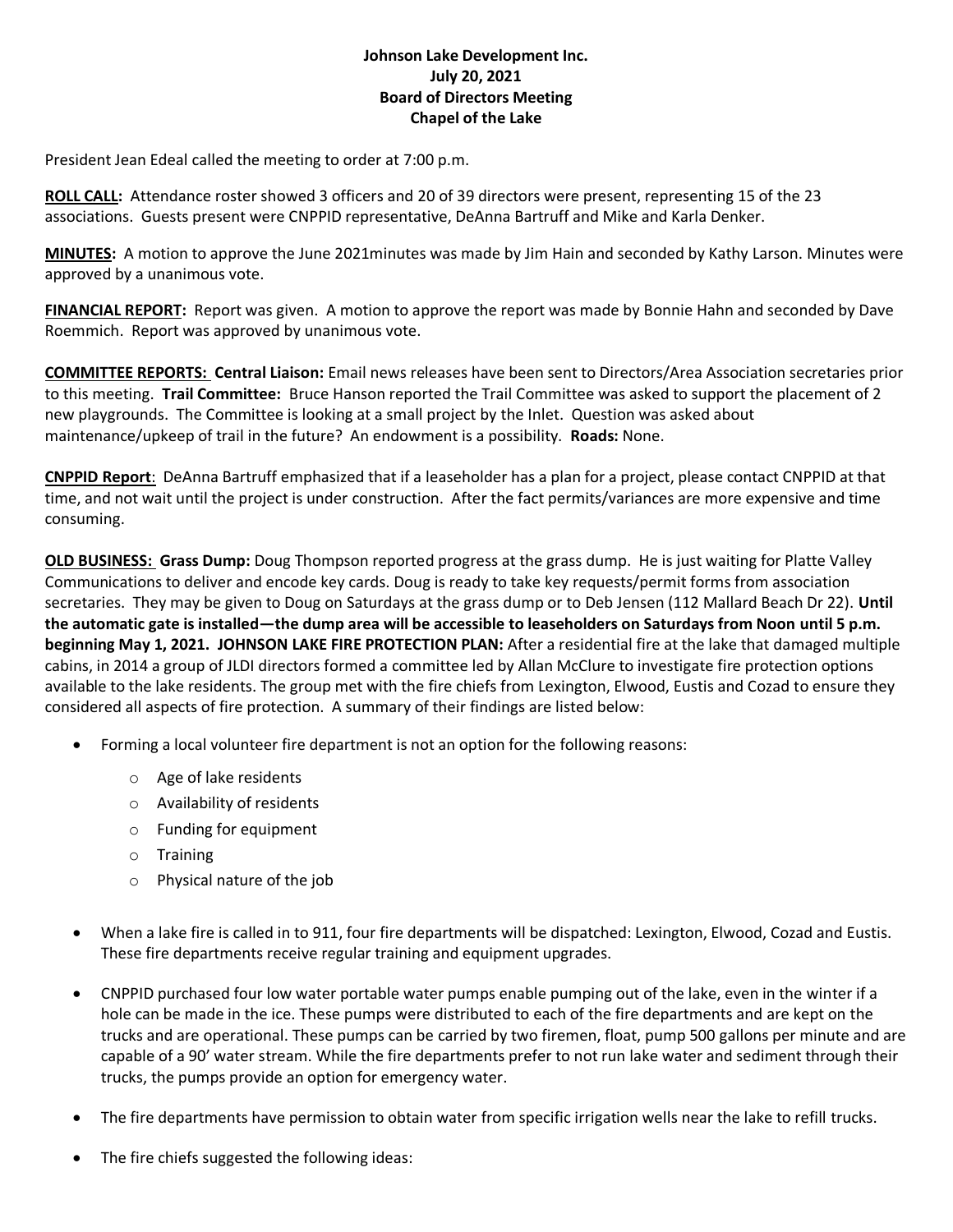## **Johnson Lake Development Inc. July 20, 2021 Board of Directors Meeting Chapel of the Lake**

President Jean Edeal called the meeting to order at 7:00 p.m.

**ROLL CALL:** Attendance roster showed 3 officers and 20 of 39 directors were present, representing 15 of the 23 associations. Guests present were CNPPID representative, DeAnna Bartruff and Mike and Karla Denker.

**MINUTES:** A motion to approve the June 2021minutes was made by Jim Hain and seconded by Kathy Larson. Minutes were approved by a unanimous vote.

**FINANCIAL REPORT:** Report was given. A motion to approve the report was made by Bonnie Hahn and seconded by Dave Roemmich. Report was approved by unanimous vote.

**COMMITTEE REPORTS: Central Liaison:** Email news releases have been sent to Directors/Area Association secretaries prior to this meeting. **Trail Committee:** Bruce Hanson reported the Trail Committee was asked to support the placement of 2 new playgrounds. The Committee is looking at a small project by the Inlet. Question was asked about maintenance/upkeep of trail in the future? An endowment is a possibility. **Roads:** None.

**CNPPID Report**: DeAnna Bartruff emphasized that if a leaseholder has a plan for a project, please contact CNPPID at that time, and not wait until the project is under construction. After the fact permits/variances are more expensive and time consuming.

**OLD BUSINESS: Grass Dump:** Doug Thompson reported progress at the grass dump. He is just waiting for Platte Valley Communications to deliver and encode key cards. Doug is ready to take key requests/permit forms from association secretaries. They may be given to Doug on Saturdays at the grass dump or to Deb Jensen (112 Mallard Beach Dr 22). **Until the automatic gate is installed—the dump area will be accessible to leaseholders on Saturdays from Noon until 5 p.m. beginning May 1, 2021. JOHNSON LAKE FIRE PROTECTION PLAN:** After a residential fire at the lake that damaged multiple cabins, in 2014 a group of JLDI directors formed a committee led by Allan McClure to investigate fire protection options available to the lake residents. The group met with the fire chiefs from Lexington, Elwood, Eustis and Cozad to ensure they considered all aspects of fire protection. A summary of their findings are listed below:

- Forming a local volunteer fire department is not an option for the following reasons:
	- o Age of lake residents
	- o Availability of residents
	- o Funding for equipment
	- o Training
	- o Physical nature of the job
- When a lake fire is called in to 911, four fire departments will be dispatched: Lexington, Elwood, Cozad and Eustis. These fire departments receive regular training and equipment upgrades.
- CNPPID purchased four low water portable water pumps enable pumping out of the lake, even in the winter if a hole can be made in the ice. These pumps were distributed to each of the fire departments and are kept on the trucks and are operational. These pumps can be carried by two firemen, float, pump 500 gallons per minute and are capable of a 90' water stream. While the fire departments prefer to not run lake water and sediment through their trucks, the pumps provide an option for emergency water.
- The fire departments have permission to obtain water from specific irrigation wells near the lake to refill trucks.
- The fire chiefs suggested the following ideas: